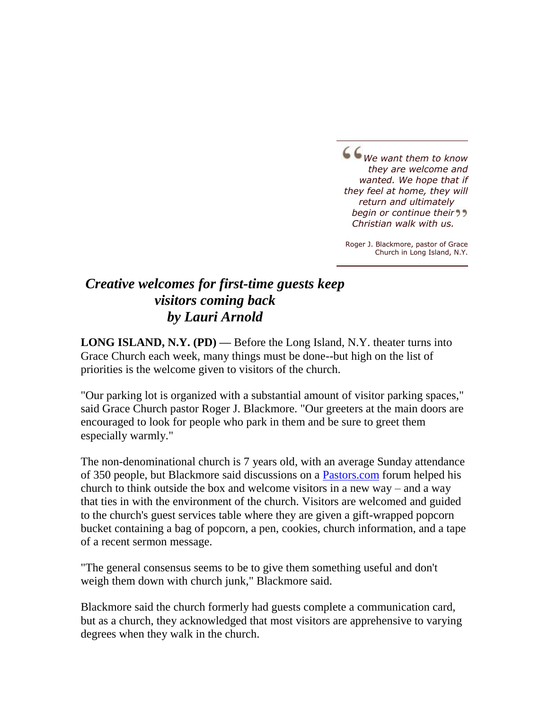*We want them to know they are welcome and wanted. We hope that if they feel at home, they will return and ultimately begin or continue their Christian walk with us.*

Roger J. Blackmore, pastor of Grace Church in Long Island, N.Y.

## *Creative welcomes for first-time guests keep visitors coming back by Lauri Arnold*

**LONG ISLAND, N.Y. (PD)** — Before the Long Island, N.Y. theater turns into Grace Church each week, many things must be done--but high on the list of priorities is the welcome given to visitors of the church.

"Our parking lot is organized with a substantial amount of visitor parking spaces," said Grace Church pastor Roger J. Blackmore. "Our greeters at the main doors are encouraged to look for people who park in them and be sure to greet them especially warmly."

The non-denominational church is 7 years old, with an average Sunday attendance of 350 people, but Blackmore said discussions on a [Pastors.com](http://www.pastors.com/) forum helped his church to think outside the box and welcome visitors in a new way – and a way that ties in with the environment of the church. Visitors are welcomed and guided to the church's guest services table where they are given a gift-wrapped popcorn bucket containing a bag of popcorn, a pen, cookies, church information, and a tape of a recent sermon message.

"The general consensus seems to be to give them something useful and don't weigh them down with church junk," Blackmore said.

Blackmore said the church formerly had guests complete a communication card, but as a church, they acknowledged that most visitors are apprehensive to varying degrees when they walk in the church.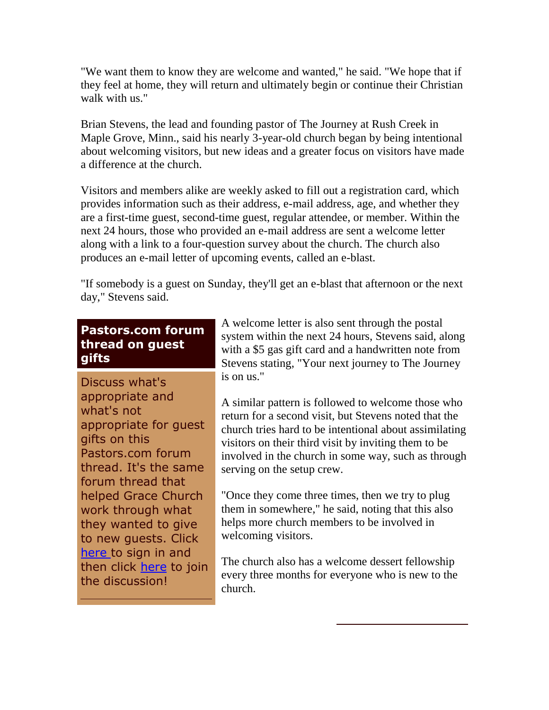"We want them to know they are welcome and wanted," he said. "We hope that if they feel at home, they will return and ultimately begin or continue their Christian walk with us."

Brian Stevens, the lead and founding pastor of The Journey at Rush Creek in Maple Grove, Minn., said his nearly 3-year-old church began by being intentional about welcoming visitors, but new ideas and a greater focus on visitors have made a difference at the church.

Visitors and members alike are weekly asked to fill out a registration card, which provides information such as their address, e-mail address, age, and whether they are a first-time guest, second-time guest, regular attendee, or member. Within the next 24 hours, those who provided an e-mail address are sent a welcome letter along with a link to a four-question survey about the church. The church also produces an e-mail letter of upcoming events, called an e-blast.

"If somebody is a guest on Sunday, they'll get an e-blast that afternoon or the next day," Stevens said.

## **Pastors.com forum thread on guest gifts**

Discuss what's appropriate and what's not appropriate for guest gifts on this Pastors.com forum thread. It's the same forum thread that helped Grace Church work through what they wanted to give to new guests. Click [here t](http://www.pastors.com/app/signin.asp?r=newloginFORUMS&url=/my/forums/)o sign in and then click [here](http://forums.pastors.com/forum/messageview.aspx?catid=12&threadid=24436&highlight_key=y&keyword1=guest+gifts) to join the discussion!

A welcome letter is also sent through the postal system within the next 24 hours, Stevens said, along with a \$5 gas gift card and a handwritten note from Stevens stating, "Your next journey to The Journey is on us."

A similar pattern is followed to welcome those who return for a second visit, but Stevens noted that the church tries hard to be intentional about assimilating visitors on their third visit by inviting them to be involved in the church in some way, such as through serving on the setup crew.

"Once they come three times, then we try to plug them in somewhere," he said, noting that this also helps more church members to be involved in welcoming visitors.

The church also has a welcome dessert fellowship every three months for everyone who is new to the church.